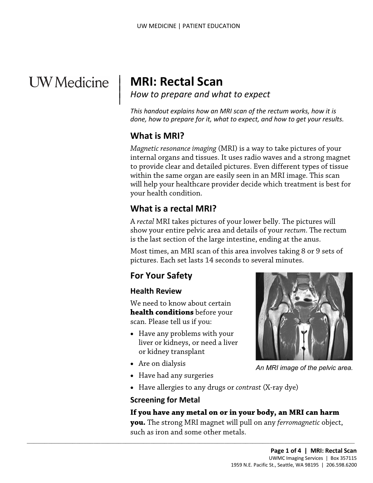# **UW** Medicine

# <sup>|</sup>**MRI: Rectal Scan** | *How to prepare and what to expect* <sup>|</sup>

 *This handout explains how an MRI scan of the rectum works, how it is done, how to prepare for it, what to expect, and how to get your results.* 

#### **What is MRI?**

 $\overline{\phantom{a}}$ 

 within the same organ are easily seen in an MRI image. This scan your health condition. *Magnetic resonance imaging* (MRI) is a way to take pictures of your internal organs and tissues. It uses radio waves and a strong magnet to provide clear and detailed pictures. Even different types of tissue will help your healthcare provider decide which treatment is best for

# **What is a rectal MRI?**

 A *rectal* MRI takes pictures of your lower belly. The pictures will is the last section of the large intestine, ending at the anus. Will fleep your healthcare provider decide which treatment is be<br>your health condition.<br>**What is a rectal MRI?**<br>A *rectal* MRI takes pictures of your lower belly. The pictures will<br>show your entire pelvic area and details show your entire pelvic area and details of your *rectum.* The rectum

Most times, an MRI scan of this area involves taking 8 or 9 sets of pictures. Each set lasts 14 seconds to several minutes.

### **For Your Safety**

#### **Health Review**

 **health conditions** before your scan. Please tell us if you: We need to know about certain

• Have any problems with your liver or kidneys, or need a liver or kidney transplant

 $\_$  , and the set of the set of the set of the set of the set of the set of the set of the set of the set of the set of the set of the set of the set of the set of the set of the set of the set of the set of the set of th

- Are on dialysis
- Have had any surgeries
- Have allergies to any drugs or *contrast* (X-ray dye)

#### **Screening for Metal**

#### **If you have any metal on or in your body, an MRI can harm**

 **you.** The strong MRI magnet will pull on any *ferromagnetic* object, such as iron and some other metals.



*An MRI image of the pelvic area.*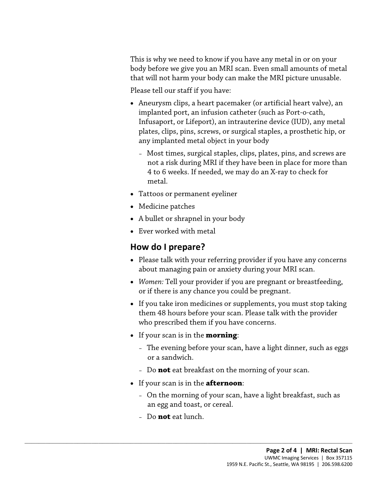This is why we need to know if you have any metal in or on your body before we give you an MRI scan. Even small amounts of metal that will not harm your body can make the MRI picture unusable.

Please tell our staff if you have:

- Aneurysm clips, a heart pacemaker (or artificial heart valve), an implanted port, an infusion catheter (such as Port-o-cath, Infusaport, or Lifeport), an intrauterine device (IUD), any metal plates, clips, pins, screws, or surgical staples, a prosthetic hip, or any implanted metal object in your body
	- Most times, surgical staples, clips, plates, pins, and screws are not a risk during MRI if they have been in place for more than 4 to 6 weeks. If needed, we may do an X-ray to check for metal.
- Tattoos or permanent eyeliner
- Medicine patches
- A bullet or shrapnel in your body
- Ever worked with metal

### **How do I prepare?**

- Tattoos or permanent eyeliner<br>
 Medicine patches<br>
 A bullet or shrapnel in your body<br>
 Ever worked with metal<br> **How do I prepare?**<br>
 Please talk with your referring provider if you have any concerr • Please talk with your referring provider if you have any concerns about managing pain or anxiety during your MRI scan.
	- *Women:* Tell your provider if you are pregnant or breastfeeding, or if there is any chance you could be pregnant.
	- If you take iron medicines or supplements, you must stop taking them 48 hours before your scan. Please talk with the provider who prescribed them if you have concerns.
	- If your scan is in the **morning**:
		- – The evening before your scan, have a light dinner, such as eggs or a sandwich.
		- Do **not** eat breakfast on the morning of your scan.
	- If your scan is in the **afternoon**:

 $\_$  ,  $\_$  ,  $\_$  ,  $\_$  ,  $\_$  ,  $\_$  ,  $\_$  ,  $\_$  ,  $\_$  ,  $\_$  ,  $\_$  ,  $\_$  ,  $\_$  ,  $\_$  ,  $\_$  ,  $\_$  ,  $\_$  ,  $\_$  ,  $\_$  ,  $\_$  ,  $\_$  ,  $\_$  ,  $\_$  ,  $\_$  ,  $\_$  ,  $\_$  ,  $\_$  ,  $\_$  ,  $\_$  ,  $\_$  ,  $\_$  ,  $\_$  ,  $\_$  ,  $\_$  ,  $\_$  ,  $\_$  ,  $\_$  ,

- On the morning of your scan, have a light breakfast, such as an egg and toast, or cereal.
- Do **not** eat lunch.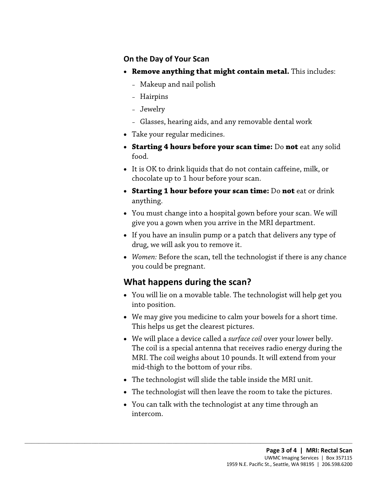#### **On the Day of Your Scan**

- • **Remove anything that might contain metal.** This includes:
	- Makeup and nail polish
	- Hairpins
	- Jewelry
	- Glasses, hearing aids, and any removable dental work
- Take your regular medicines.
- • **Starting 4 hours before your scan time:** Do **not** eat any solid food.
- It is OK to drink liquids that do not contain caffeine, milk, or chocolate up to 1 hour before your scan.
- • **Starting 1 hour before your scan time:** Do **not** eat or drink anything.
- Starting 1 nour before your standard line. Bo not eat of drink<br>
 You must change into a hospital gown before your scan. We will<br>
give you a gown when you arrive in the MRI department.<br>
 If you have an insulin pump or a • You must change into a hospital gown before your scan. We will give you a gown when you arrive in the MRI department.
	- drug, we will ask you to remove it. • If you have an insulin pump or a patch that delivers any type of
	- *Women:* Before the scan, tell the technologist if there is any chance you could be pregnant.

### **What happens during the scan?**

 $\_$  ,  $\_$  ,  $\_$  ,  $\_$  ,  $\_$  ,  $\_$  ,  $\_$  ,  $\_$  ,  $\_$  ,  $\_$  ,  $\_$  ,  $\_$  ,  $\_$  ,  $\_$  ,  $\_$  ,  $\_$  ,  $\_$  ,  $\_$  ,  $\_$  ,  $\_$  ,  $\_$  ,  $\_$  ,  $\_$  ,  $\_$  ,  $\_$  ,  $\_$  ,  $\_$  ,  $\_$  ,  $\_$  ,  $\_$  ,  $\_$  ,  $\_$  ,  $\_$  ,  $\_$  ,  $\_$  ,  $\_$  ,  $\_$  ,

- You will lie on a movable table. The technologist will help get you into position.
- We may give you medicine to calm your bowels for a short time. This helps us get the clearest pictures.
- MRI. The coil weighs about 10 pounds. It will extend from your • We will place a device called a *surface coil* over your lower belly. The coil is a special antenna that receives radio energy during the mid-thigh to the bottom of your ribs.
- The technologist will slide the table inside the MRI unit.
- The technologist will then leave the room to take the pictures.
- You can talk with the technologist at any time through an intercom.